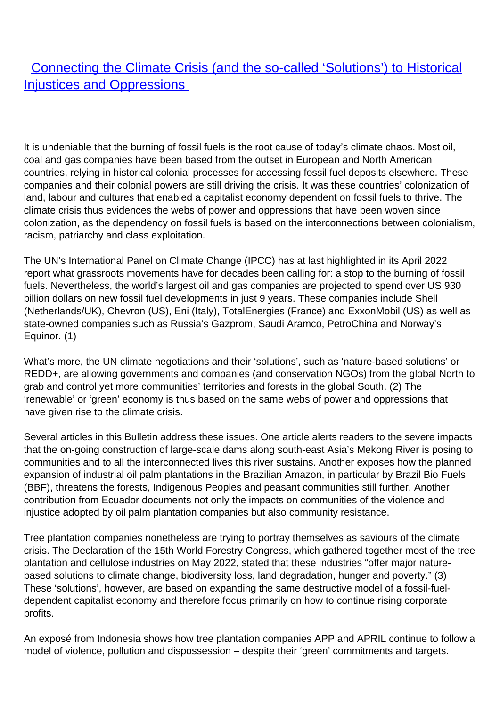<span id="page-0-0"></span>[Connecting the Climate Crisis \(and the so-called 'Solutions'\) to Historical](/bulletin-articles/connecting-the-climate-crisis-and-the-so-called-solutions-to-injustices) **[Injustices and Oppressions](/bulletin-articles/connecting-the-climate-crisis-and-the-so-called-solutions-to-injustices)** 

It is undeniable that the burning of fossil fuels is the root cause of today's climate chaos. Most oil, coal and gas companies have been based from the outset in European and North American countries, relying in historical colonial processes for accessing fossil fuel deposits elsewhere. These companies and their colonial powers are still driving the crisis. It was these countries' colonization of land, labour and cultures that enabled a capitalist economy dependent on fossil fuels to thrive. The climate crisis thus evidences the webs of power and oppressions that have been woven since colonization, as the dependency on fossil fuels is based on the interconnections between colonialism, racism, patriarchy and class exploitation.

The UN's International Panel on Climate Change (IPCC) has at last highlighted in its April 2022 report what grassroots movements have for decades been calling for: a stop to the burning of fossil fuels. Nevertheless, the world's largest oil and gas companies are projected to spend over US 930 billion dollars on new fossil fuel developments in just 9 years. These companies include Shell (Netherlands/UK), Chevron (US), Eni (Italy), TotalEnergies (France) and ExxonMobil (US) as well as state-owned companies such as Russia's Gazprom, Saudi Aramco, PetroChina and Norway's Equinor. (1)

What's more, the UN climate negotiations and their 'solutions', such as 'nature-based solutions' or REDD+, are allowing governments and companies (and conservation NGOs) from the global North to grab and control yet more communities' territories and forests in the global South. (2) The 'renewable' or 'green' economy is thus based on the same webs of power and oppressions that have given rise to the climate crisis.

Several articles in this Bulletin address these issues. One article alerts readers to the severe impacts that the on-going construction of large-scale dams along south-east Asia's Mekong River is posing to communities and to all the interconnected lives this river sustains. Another exposes how the planned expansion of industrial oil palm plantations in the Brazilian Amazon, in particular by Brazil Bio Fuels (BBF), threatens the forests, Indigenous Peoples and peasant communities still further. Another contribution from Ecuador documents not only the impacts on communities of the violence and injustice adopted by oil palm plantation companies but also community resistance.

Tree plantation companies nonetheless are trying to portray themselves as saviours of the climate crisis. The Declaration of the 15th World Forestry Congress, which gathered together most of the tree plantation and cellulose industries on May 2022, stated that these industries "offer major naturebased solutions to climate change, biodiversity loss, land degradation, hunger and poverty." (3) These 'solutions', however, are based on expanding the same destructive model of a fossil-fueldependent capitalist economy and therefore focus primarily on how to continue rising corporate profits.

An exposé from Indonesia shows how tree plantation companies APP and APRIL continue to follow a model of violence, pollution and dispossession – despite their 'green' commitments and targets.